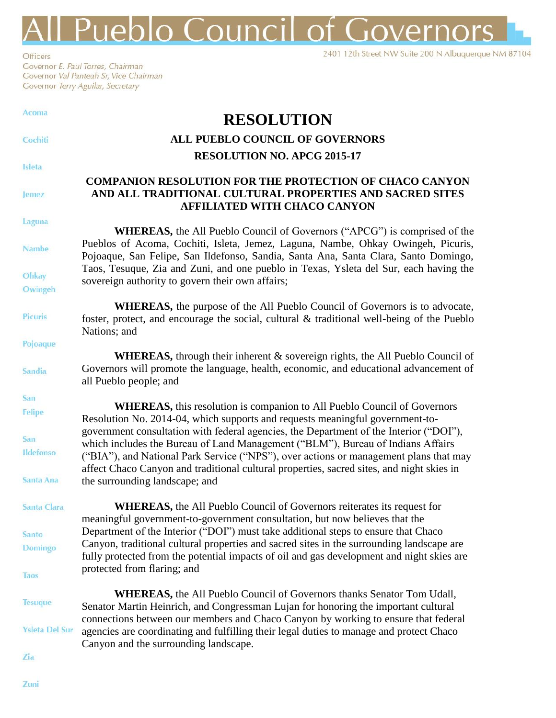## **Pueblo Council of Governors**

2401 12th Street NW Suite 200 N Albuquerque NM 87104

Officers Governor E. Paul Torres, Chairman Governor Val Panteah Sr, Vice Chairman Governor Terry Aguilar, Secretary

| Acoma                      | <b>RESOLUTION</b>                                                                                                                                                                                                                                                                                                                                   |
|----------------------------|-----------------------------------------------------------------------------------------------------------------------------------------------------------------------------------------------------------------------------------------------------------------------------------------------------------------------------------------------------|
| Cochiti                    | <b>ALL PUEBLO COUNCIL OF GOVERNORS</b>                                                                                                                                                                                                                                                                                                              |
|                            | <b>RESOLUTION NO. APCG 2015-17</b>                                                                                                                                                                                                                                                                                                                  |
| Isleta<br>Jemez            | <b>COMPANION RESOLUTION FOR THE PROTECTION OF CHACO CANYON</b><br>AND ALL TRADITIONAL CULTURAL PROPERTIES AND SACRED SITES<br><b>AFFILIATED WITH CHACO CANYON</b>                                                                                                                                                                                   |
| Laguna                     |                                                                                                                                                                                                                                                                                                                                                     |
| <b>Nambe</b>               | <b>WHEREAS,</b> the All Pueblo Council of Governors ("APCG") is comprised of the<br>Pueblos of Acoma, Cochiti, Isleta, Jemez, Laguna, Nambe, Ohkay Owingeh, Picuris,<br>Pojoaque, San Felipe, San Ildefonso, Sandia, Santa Ana, Santa Clara, Santo Domingo,                                                                                         |
| Ohkay<br>Owingeh           | Taos, Tesuque, Zia and Zuni, and one pueblo in Texas, Ysleta del Sur, each having the<br>sovereign authority to govern their own affairs;                                                                                                                                                                                                           |
| Picuris                    | <b>WHEREAS</b> , the purpose of the All Pueblo Council of Governors is to advocate,<br>foster, protect, and encourage the social, cultural & traditional well-being of the Pueblo<br>Nations; and                                                                                                                                                   |
| Pojoaque                   |                                                                                                                                                                                                                                                                                                                                                     |
| Sandia                     | <b>WHEREAS,</b> through their inherent & sovereign rights, the All Pueblo Council of<br>Governors will promote the language, health, economic, and educational advancement of<br>all Pueblo people; and                                                                                                                                             |
| San                        | WHEREAS, this resolution is companion to All Pueblo Council of Governors                                                                                                                                                                                                                                                                            |
| Felipe<br>San<br>Ildefonso | Resolution No. 2014-04, which supports and requests meaningful government-to-<br>government consultation with federal agencies, the Department of the Interior ("DOI"),<br>which includes the Bureau of Land Management ("BLM"), Bureau of Indians Affairs<br>("BIA"), and National Park Service ("NPS"), over actions or management plans that may |
| Santa Ana                  | affect Chaco Canyon and traditional cultural properties, sacred sites, and night skies in<br>the surrounding landscape; and                                                                                                                                                                                                                         |
| Santa Clara                | <b>WHEREAS,</b> the All Pueblo Council of Governors reiterates its request for<br>meaningful government-to-government consultation, but now believes that the                                                                                                                                                                                       |
| Santo<br><b>Domingo</b>    | Department of the Interior ("DOI") must take additional steps to ensure that Chaco<br>Canyon, traditional cultural properties and sacred sites in the surrounding landscape are<br>fully protected from the potential impacts of oil and gas development and night skies are                                                                        |
| Taos                       | protected from flaring; and                                                                                                                                                                                                                                                                                                                         |
| <b>Tesuque</b>             | <b>WHEREAS, the All Pueblo Council of Governors thanks Senator Tom Udall,</b><br>Senator Martin Heinrich, and Congressman Lujan for honoring the important cultural                                                                                                                                                                                 |
| <b>Ysleta Del Sur</b>      | connections between our members and Chaco Canyon by working to ensure that federal<br>agencies are coordinating and fulfilling their legal duties to manage and protect Chaco<br>Canyon and the surrounding landscape.                                                                                                                              |
| <b>Zia</b>                 |                                                                                                                                                                                                                                                                                                                                                     |